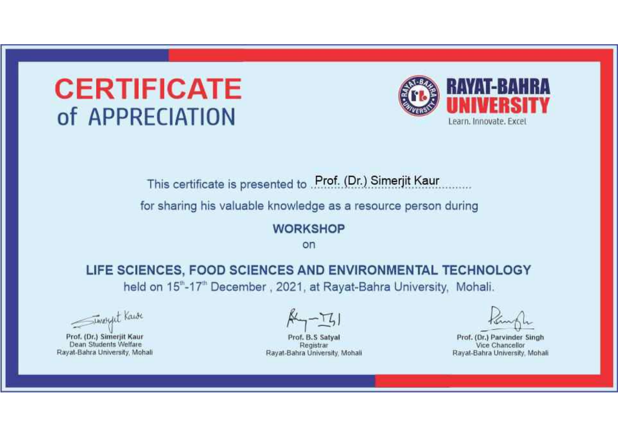

This certificate is presented to Prof. (Dr.) Simerjit Kaur

for sharing his valuable knowledge as a resource person during

#### **WORKSHOP**

on

LIFE SCIENCES, FOOD SCIENCES AND ENVIRONMENTAL TECHNOLOGY held on 15"-17" December, 2021, at Rayat-Bahra University, Mohali.

Timeret Kawe

Prof. (Dr.) Simerjit Kaur Dean Students Welfare Rayat-Bahra University, Mohali

Prof. B.S Satval Registrar Rayat-Bahra University, Mohali

Prof. (Dr.) Parvinder Singh Vice Chancellor Rayat-Bahra University, Mohali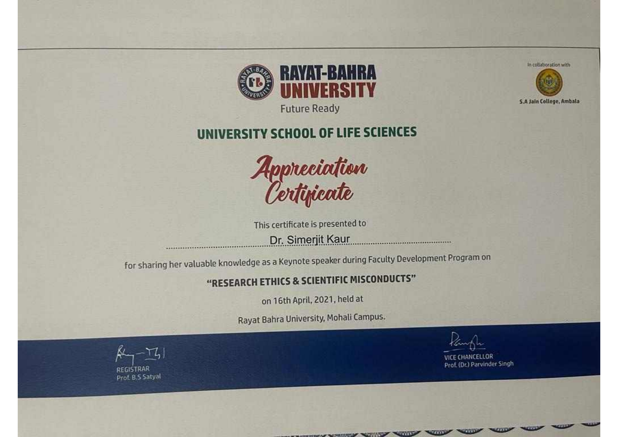

**Future Ready** 

### UNIVERSITY SCHOOL OF LIFE SCIENCES



This certificate is presented to Dr. Simerjit Kaur 

for sharing her valuable knowledge as a Keynote speaker during Faculty Development Program on

#### "RESEARCH ETHICS & SCIENTIFIC MISCONDUCTS"

on 16th April, 2021, held at

Rayat Bahra University, Mohali Campus.

**CONTRACTOR** 

CHINESE WITH STILL WITH STILL

Prof. (Dr.) Parvinder Singh



In collaboration with

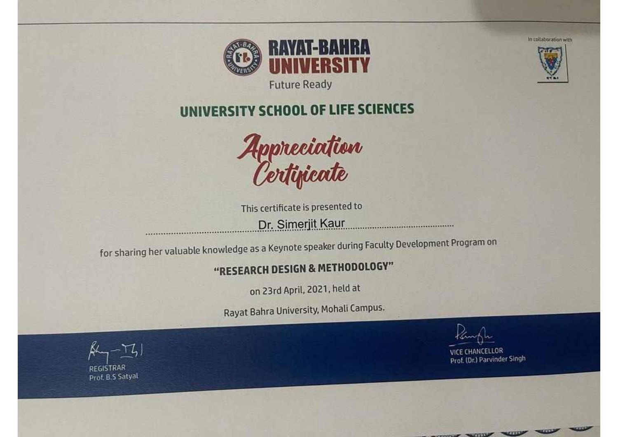

In collaboration with



### UNIVERSITY SCHOOL OF LIFE SCIENCES



This certificate is presented to

Dr. Simerjit Kaur

for sharing her valuable knowledge as a Keynote speaker during Faculty Development Program on

.......................

#### "RESEARCH DESIGN & METHODOLOGY"

on 23rd April, 2021, held at

Rayat Bahra University, Mohali Campus.

VICE CHANCELLOR Prof. (Dr.) Parvinder Singh



Prof. B.S Satyal



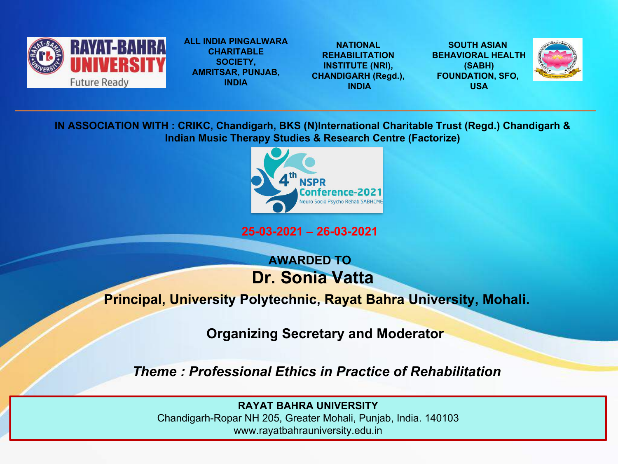

**ALL INDIA PINGALWARA SOCIETY, AMRITSAR, PUNJAB, INDIA**

**NATIONAL INSTITUTE (NRI), CHANDIGARH (Regd.), CHARITABLE REHABILITATION** 

**REHABILITATION BEHAVIORAL HEALTH INDIA SOUTH ASIAN (SABH) FOUNDATION, SFO, USA**



**IN ASSOCIATION WITH : CRIKC, Chandigarh, BKS (N)International Charitable Trust (Regd.) Chandigarh & Indian Music Therapy Studies & Research Centre (Factorize)**



**25-03-2021 – 26-03-2021**

#### **AWARDED TO Dr. Sonia Vatta**

#### **Principal, University Polytechnic, Rayat Bahra University, Mohali.**

**Organizing Secretary and Moderator**

*Theme : Professional Ethics in Practice of Rehabilitation*

**RAYAT BAHRA UNIVERSITY**

Chandigarh-Ropar NH 205, Greater Mohali, Punjab, India. 140103 www.rayatbahrauniversity.edu.in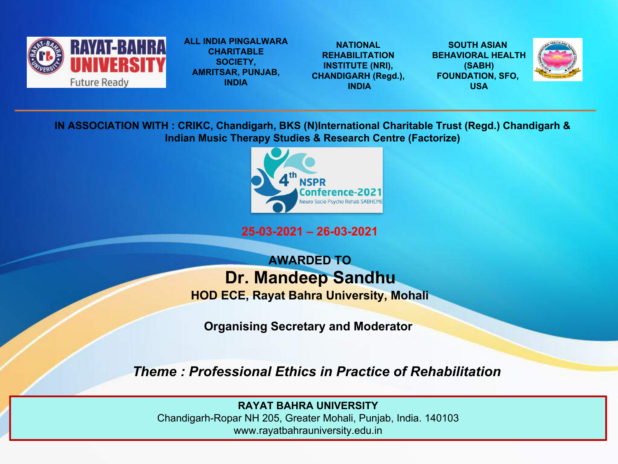

**ALL INDIA PINGALWARA SOCIETY, AMRITSAR, PUNJAB, INDIA**

**NATIONAL INSTITUTE (NRI), CHANDIGARH (Regd.), CHARITABLE REHABILITATION** 

**REHABILITATION BEHAVIORAL HEALTH INDIA SOUTH ASIAN (SABH) FOUNDATION, SFO, USA**



**IN ASSOCIATION WITH : CRIKC, Chandigarh, BKS (N)International Charitable Trust (Regd.) Chandigarh & Indian Music Therapy Studies & Research Centre (Factorize)**



**25-03-2021 – 26-03-2021**

**AWARDED TO Dr. Mandeep Sandhu**

**HOD ECE, Rayat Bahra University, Mohali**

**Organising Secretary and Moderator**

*Theme : Professional Ethics in Practice of Rehabilitation*

**RAYAT BAHRA UNIVERSITY**

Chandigarh-Ropar NH 205, Greater Mohali, Punjab, India. 140103 www.rayatbahrauniversity.edu.in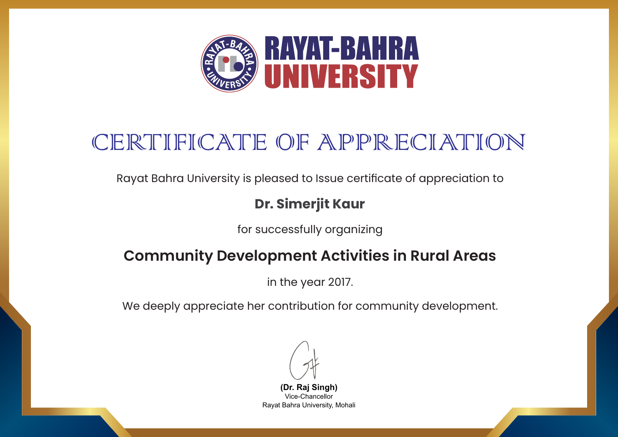

Rayat Bahra University is pleased to Issue certificate of appreciation to

#### **Dr. Simerjit Kaur**

for successfully organizing

### **Community Development Activities in Rural Areas**

in the year 2017.

We deeply appreciate her contribution for community development.

**(Dr. Raj Singh)** Vice-Chancellor Rayat Bahra University, Mohali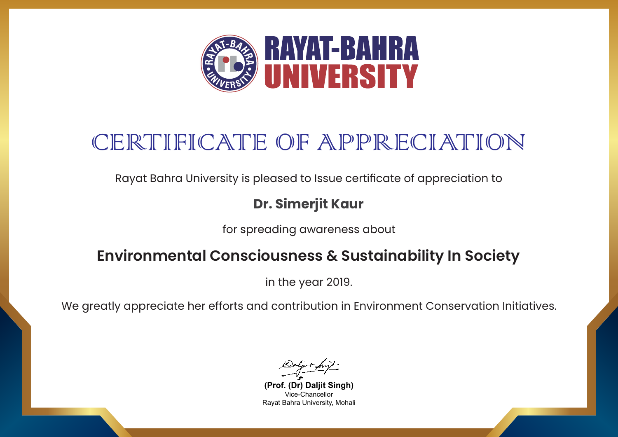

Rayat Bahra University is pleased to Issue certificate of appreciation to

### **Dr. Simerjit Kaur**

for spreading awareness about

### **Environmental Consciousness & Sustainability In Society**

in the year 2019.

We greatly appreciate her efforts and contribution in Environment Conservation Initiatives.

**(Prof. (Dr) Daljit Singh)** Vice-Chancellor Rayat Bahra University, Mohali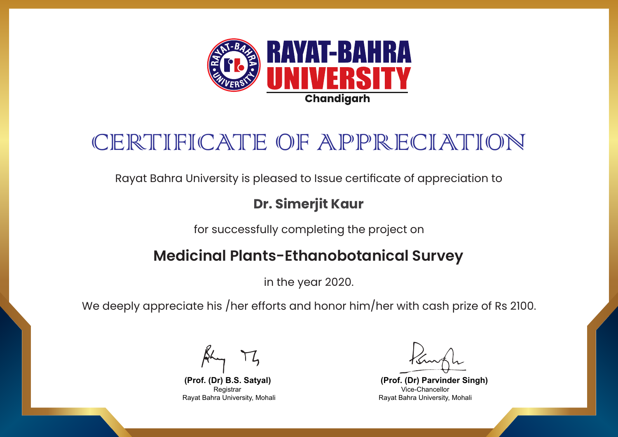

Rayat Bahra University is pleased to Issue certificate of appreciation to

#### **Dr. Simerjit Kaur**

for successfully completing the project on

### **Medicinal Plants-Ethanobotanical Survey**

in the year 2020.

We deeply appreciate his /her efforts and honor him/her with cash prize of Rs 2100.

**(Prof. (Dr) Parvinder Singh)** Vice-Chancellor Rayat Bahra University, Mohali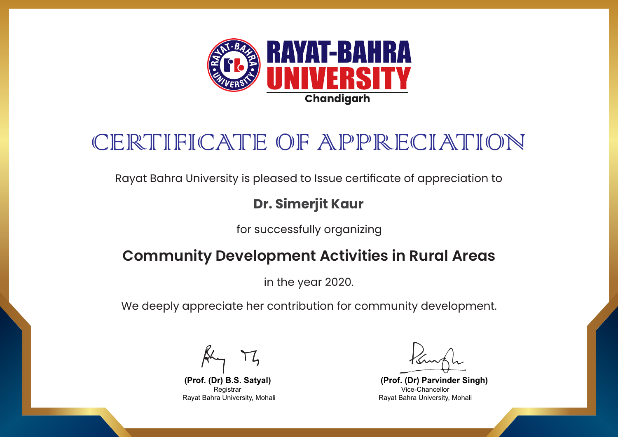

Rayat Bahra University is pleased to Issue certificate of appreciation to

#### **Dr. Simerjit Kaur**

for successfully organizing

### **Community Development Activities in Rural Areas**

in the year 2020.

We deeply appreciate her contribution for community development.

**(Prof. (Dr) Parvinder Singh)** Vice-Chancellor Rayat Bahra University, Mohali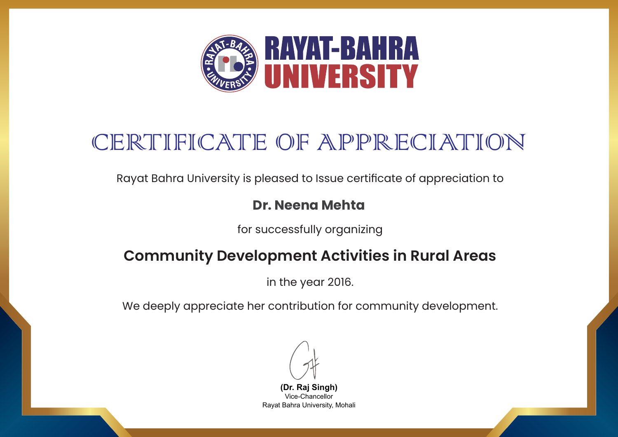

Rayat Bahra University is pleased to Issue certificate of appreciation to

#### **Dr. Neena Mehta**

for successfully organizing

### **Community Development Activities in Rural Areas**

in the year 2016.

We deeply appreciate her contribution for community development.

**(Dr. Raj Singh)** Vice-Chancellor Rayat Bahra University, Mohali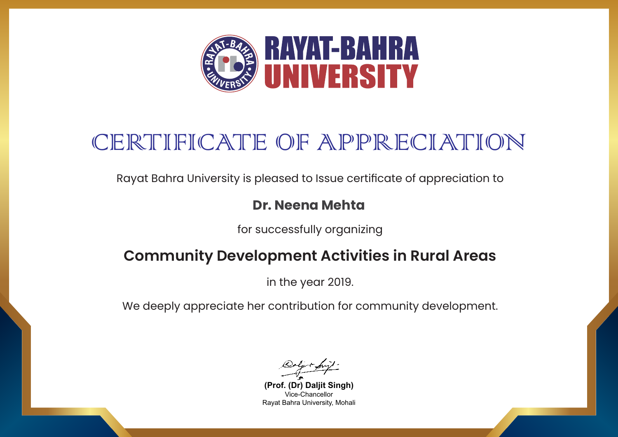

Rayat Bahra University is pleased to Issue certificate of appreciation to

#### **Dr. Neena Mehta**

for successfully organizing

### **Community Development Activities in Rural Areas**

in the year 2019.

We deeply appreciate her contribution for community development.

**(Prof. (Dr) Daljit Singh)** Vice-Chancellor Rayat Bahra University, Mohali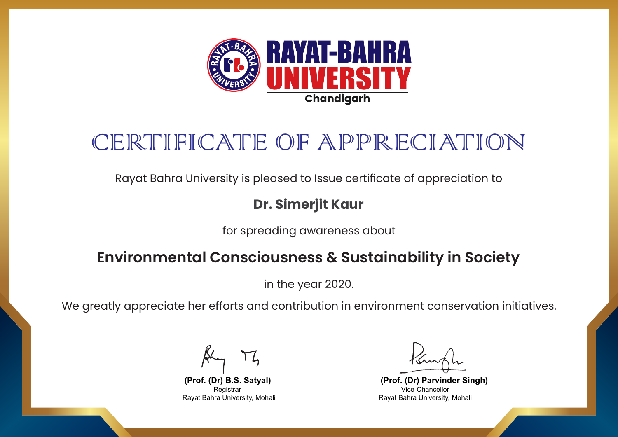

Rayat Bahra University is pleased to Issue certificate of appreciation to

### **Dr. Simerjit Kaur**

for spreading awareness about

### **Environmental Consciousness & Sustainability in Society**

in the year 2020.

We greatly appreciate her efforts and contribution in environment conservation initiatives.

**(Prof. (Dr) Parvinder Singh)** Vice-Chancellor Rayat Bahra University, Mohali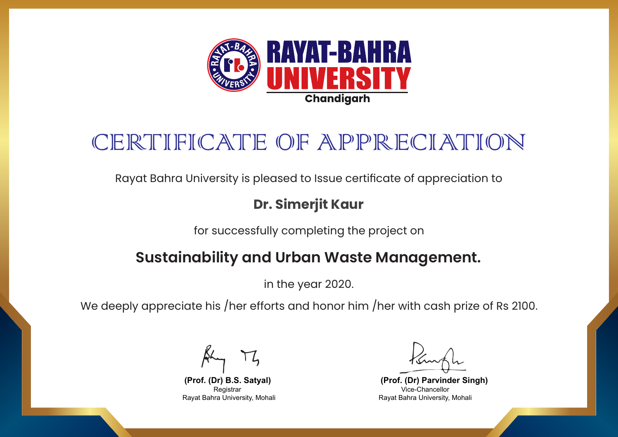

Rayat Bahra University is pleased to Issue certificate of appreciation to

### **Dr. Simerjit Kaur**

for successfully completing the project on

### **Sustainability and Urban Waste Management.**

in the year 2020.

We deeply appreciate his /her efforts and honor him /her with cash prize of Rs 2100.

**(Prof. (Dr) Parvinder Singh)** Vice-Chancellor Rayat Bahra University, Mohali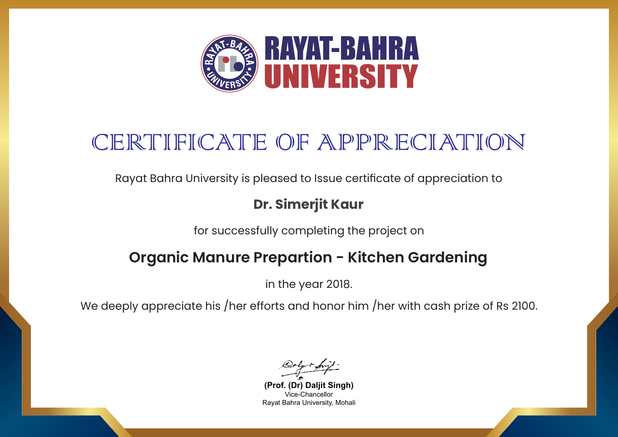

Rayat Bahra University is pleased to Issue certificate of appreciation to

#### **Dr. Simerjit Kaur**

for successfully completing the project on

### **Organic Manure Prepartion - Kitchen Gardening**

in the year 2018.

**(Prof. (Dr) Daljit Singh)** Vice-Chancellor Rayat Bahra University, Mohali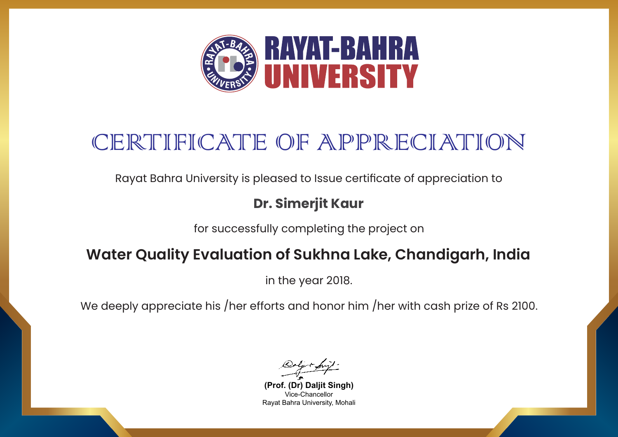

Rayat Bahra University is pleased to Issue certificate of appreciation to

### **Dr. Simerjit Kaur**

for successfully completing the project on

### **Water Quality Evaluation of Sukhna Lake, Chandigarh, India**

in the year 2018.

**(Prof. (Dr) Daljit Singh)** Vice-Chancellor Rayat Bahra University, Mohali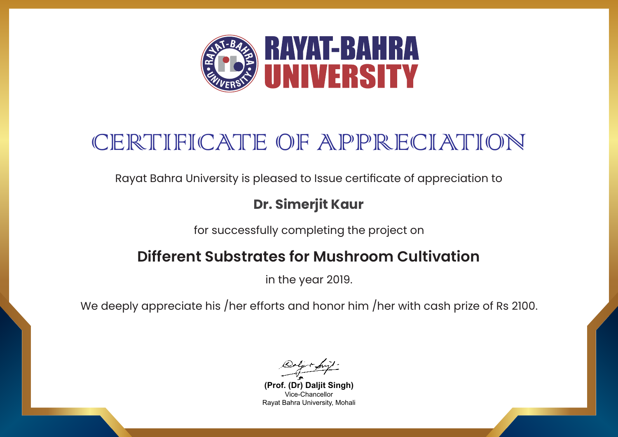

Rayat Bahra University is pleased to Issue certificate of appreciation to

#### **Dr. Simerjit Kaur**

for successfully completing the project on

### **Different Substrates for Mushroom Cultivation**

in the year 2019.

**(Prof. (Dr) Daljit Singh)** Vice-Chancellor Rayat Bahra University, Mohali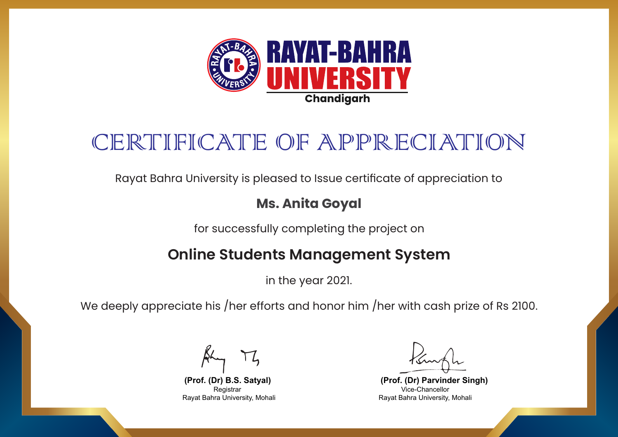

Rayat Bahra University is pleased to Issue certificate of appreciation to

#### **Ms. Anita Goyal**

for successfully completing the project on

### **Online Students Management System**

in the year 2021.

We deeply appreciate his /her efforts and honor him /her with cash prize of Rs 2100.

**(Prof. (Dr) Parvinder Singh)** Vice-Chancellor Rayat Bahra University, Mohali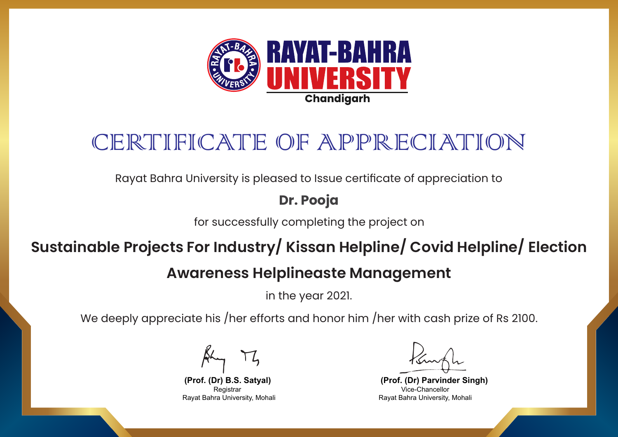

Rayat Bahra University is pleased to Issue certificate of appreciation to

**Dr. Pooja**

for successfully completing the project on

## **Sustainable Projects For Industry/ Kissan Helpline/ Covid Helpline/ Election**

### **Awareness Helplineaste Management**

in the year 2021.

**(Prof. (Dr) B.S. Satyal)** Registrar Rayat Bahra University, Mohali

**(Prof. (Dr) Parvinder Singh)** Vice-Chancellor Rayat Bahra University, Mohali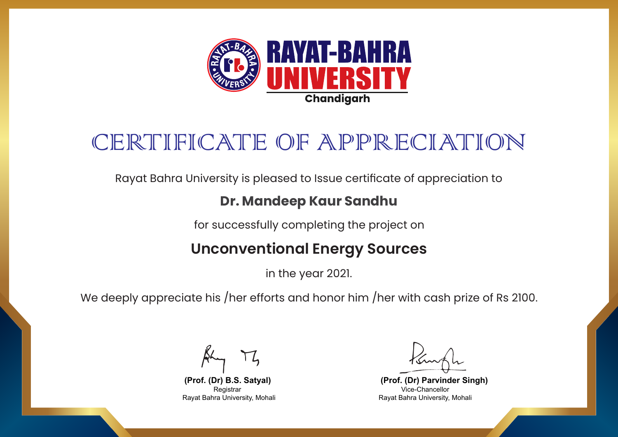

Rayat Bahra University is pleased to Issue certificate of appreciation to

#### **Dr. Mandeep Kaur Sandhu**

for successfully completing the project on

### **Unconventional Energy Sources**

in the year 2021.

We deeply appreciate his /her efforts and honor him /her with cash prize of Rs 2100.

**(Prof. (Dr) Parvinder Singh)** Vice-Chancellor Rayat Bahra University, Mohali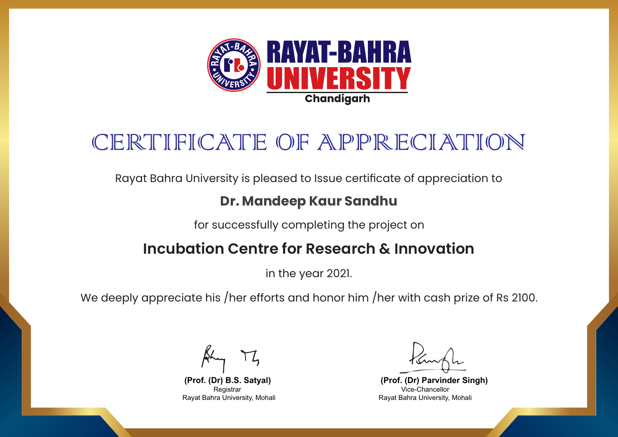

Rayat Bahra University is pleased to Issue certificate of appreciation to

#### **Dr. Mandeep Kaur Sandhu**

for successfully completing the project on

### **Incubation Centre for Research & Innovation**

in the year 2021.

We deeply appreciate his /her efforts and honor him /her with cash prize of Rs 2100.

**(Prof. (Dr) Parvinder Singh)** Vice-Chancellor Rayat Bahra University, Mohali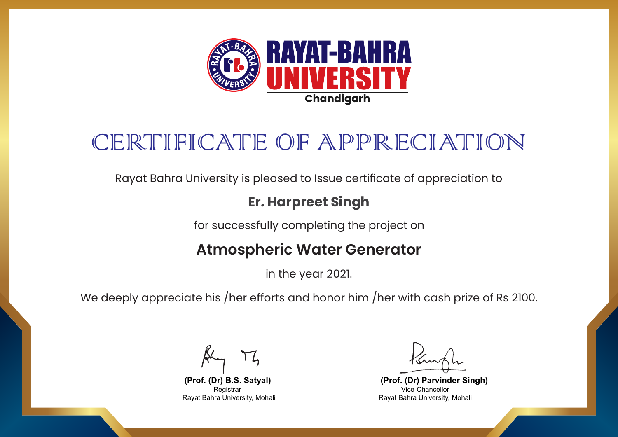

Rayat Bahra University is pleased to Issue certificate of appreciation to

#### **Er. Harpreet Singh**

for successfully completing the project on

### **Atmospheric Water Generator**

in the year 2021.

We deeply appreciate his /her efforts and honor him /her with cash prize of Rs 2100.

**(Prof. (Dr) Parvinder Singh)** Vice-Chancellor Rayat Bahra University, Mohali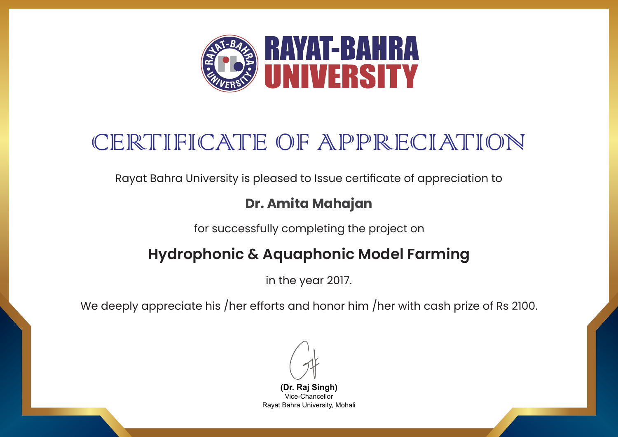

Rayat Bahra University is pleased to Issue certificate of appreciation to

#### **Dr. Amita Mahajan**

for successfully completing the project on

## **Hydrophonic & Aquaphonic Model Farming**

in the year 2017.

**(Dr. Raj Singh)** Vice-Chancellor Rayat Bahra University, Mohali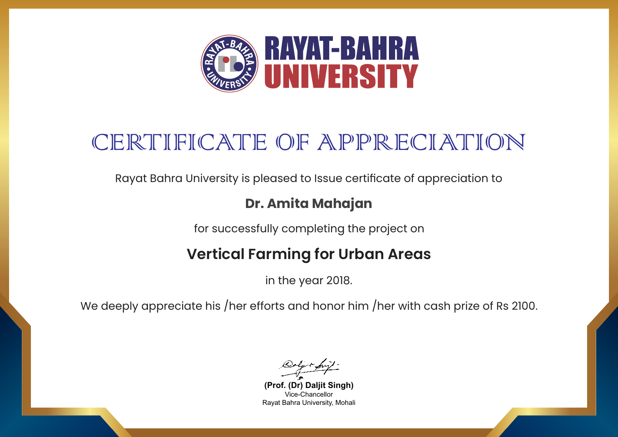

Rayat Bahra University is pleased to Issue certificate of appreciation to

#### **Dr. Amita Mahajan**

for successfully completing the project on

## **Vertical Farming for Urban Areas**

in the year 2018.

**(Prof. (Dr) Daljit Singh)** Vice-Chancellor Rayat Bahra University, Mohali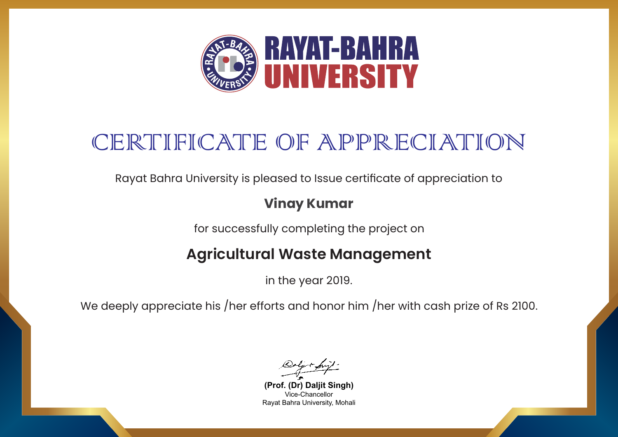

Rayat Bahra University is pleased to Issue certificate of appreciation to

### **Vinay Kumar**

for successfully completing the project on

## **Agricultural Waste Management**

in the year 2019.

**(Prof. (Dr) Daljit Singh)** Vice-Chancellor Rayat Bahra University, Mohali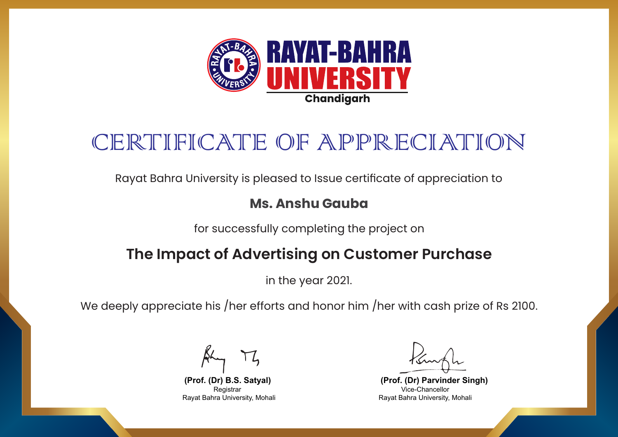

Rayat Bahra University is pleased to Issue certificate of appreciation to

#### **Ms. Anshu Gauba**

for successfully completing the project on

### **The Impact of Advertising on Customer Purchase**

in the year 2021.

We deeply appreciate his /her efforts and honor him /her with cash prize of Rs 2100.

**(Prof. (Dr) Parvinder Singh)** Vice-Chancellor Rayat Bahra University, Mohali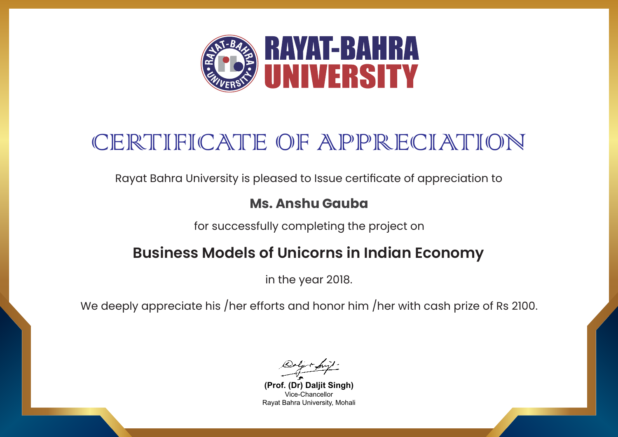

Rayat Bahra University is pleased to Issue certificate of appreciation to

#### **Ms. Anshu Gauba**

for successfully completing the project on

### **Business Models of Unicorns in Indian Economy**

in the year 2018.

**(Prof. (Dr) Daljit Singh)** Vice-Chancellor Rayat Bahra University, Mohali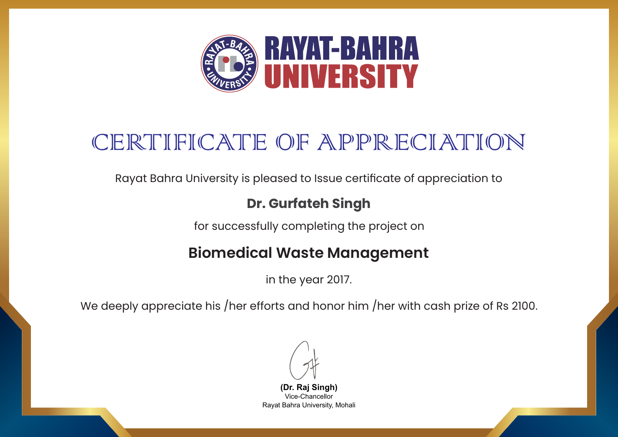

Rayat Bahra University is pleased to Issue certificate of appreciation to

### **Dr. Gurfateh Singh**

for successfully completing the project on

### **Biomedical Waste Management**

in the year 2017.

We deeply appreciate his /her efforts and honor him /her with cash prize of Rs 2100.

**(Dr. Raj Singh)** Vice-Chancellor Rayat Bahra University, Mohali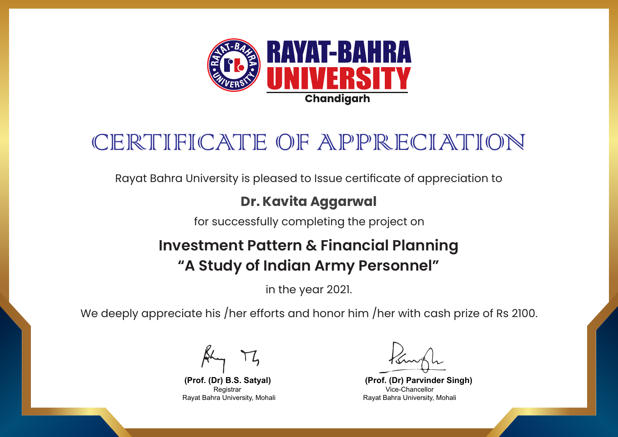

Rayat Bahra University is pleased to Issue certificate of appreciation to

#### **Dr. Kavita Aggarwal**

for successfully completing the project on

## **Investment Pattern & Financial Planning "A Study of Indian Army Personnel"**

in the year 2021.

We deeply appreciate his /her efforts and honor him /her with cash prize of Rs 2100.

**(Prof. (Dr) Parvinder Singh)** Vice-Chancellor Rayat Bahra University, Mohali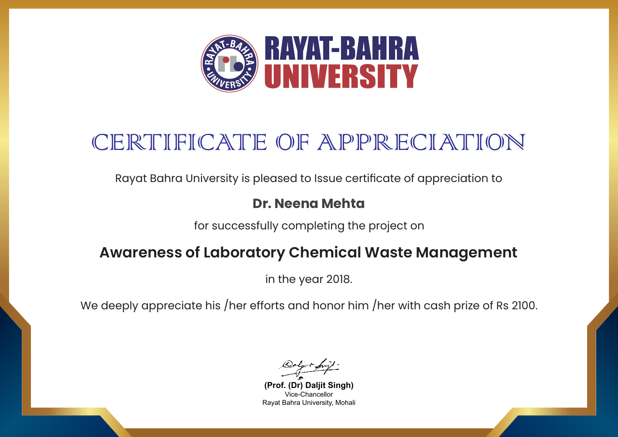

Rayat Bahra University is pleased to Issue certificate of appreciation to

#### **Dr. Neena Mehta**

for successfully completing the project on

### **Awareness of Laboratory Chemical Waste Management**

in the year 2018.

**(Prof. (Dr) Daljit Singh)** Vice-Chancellor Rayat Bahra University, Mohali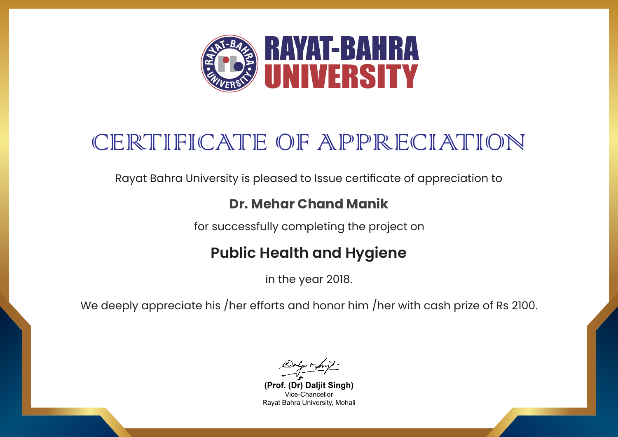

Rayat Bahra University is pleased to Issue certificate of appreciation to

#### **Dr. Mehar Chand Manik**

for successfully completing the project on

### **Public Health and Hygiene**

in the year 2018.

**(Prof. (Dr) Daljit Singh)** Vice-Chancellor Rayat Bahra University, Mohali